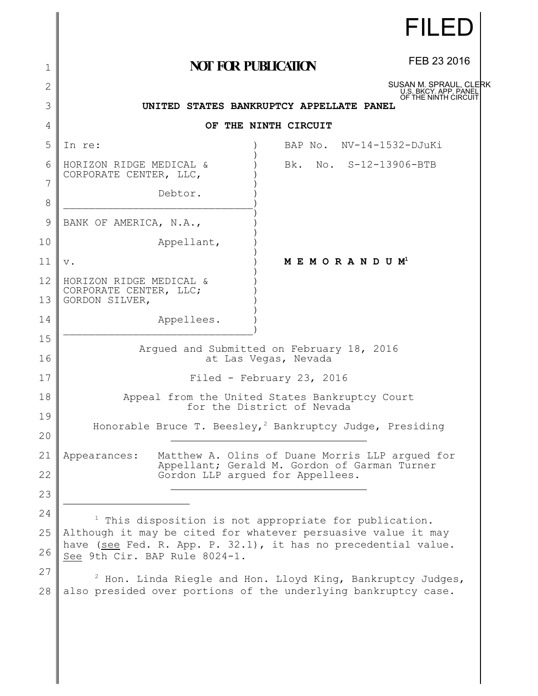|                |                                                                                                                                                     | <b>FILED</b>                                                                                                                    |  |  |
|----------------|-----------------------------------------------------------------------------------------------------------------------------------------------------|---------------------------------------------------------------------------------------------------------------------------------|--|--|
| 1              | <b>NOT FOR PUBLICATION</b>                                                                                                                          | FEB 23 2016                                                                                                                     |  |  |
| $\overline{2}$ |                                                                                                                                                     | SUSAN M. SPRAUL, CLERK<br>U.S. BKCY. APP. PANEI                                                                                 |  |  |
| 3              | UNITED STATES BANKRUPTCY APPELLATE PANEL                                                                                                            | OF THE NINTH CIRCUIT                                                                                                            |  |  |
| 4              | OF THE NINTH CIRCUIT                                                                                                                                |                                                                                                                                 |  |  |
| 5              | In re:<br>BAP No. NV-14-1532-DJuKi                                                                                                                  |                                                                                                                                 |  |  |
| 6              | No. S-12-13906-BTB<br>HORIZON RIDGE MEDICAL &<br>Bk.<br>CORPORATE CENTER, LLC,                                                                      |                                                                                                                                 |  |  |
| 7<br>8         | Debtor.                                                                                                                                             |                                                                                                                                 |  |  |
| 9              | BANK OF AMERICA, N.A.,                                                                                                                              |                                                                                                                                 |  |  |
| 10             | Appellant,                                                                                                                                          |                                                                                                                                 |  |  |
| 11             | MEMORANDUM <sup>1</sup><br>$V$ .                                                                                                                    |                                                                                                                                 |  |  |
| 12             | HORIZON RIDGE MEDICAL &<br>CORPORATE CENTER, LLC;<br>GORDON SILVER,                                                                                 |                                                                                                                                 |  |  |
| 13             |                                                                                                                                                     |                                                                                                                                 |  |  |
| 14             | Appellees.                                                                                                                                          |                                                                                                                                 |  |  |
| 15<br>16       | Arqued and Submitted on February 18, 2016<br>at Las Vegas, Nevada                                                                                   |                                                                                                                                 |  |  |
| 17             | Filed - February 23, 2016                                                                                                                           |                                                                                                                                 |  |  |
| 18             | Appeal from the United States Bankruptcy Court                                                                                                      |                                                                                                                                 |  |  |
| 19             | for the District of Nevada<br>Honorable Bruce T. Beesley, <sup>2</sup> Bankruptcy Judge, Presiding                                                  |                                                                                                                                 |  |  |
| 20             |                                                                                                                                                     |                                                                                                                                 |  |  |
| 21             | Matthew A. Olins of Duane Morris LLP arqued for<br>Appearances:<br>Appellant; Gerald M. Gordon of Garman Turner<br>Gordon LLP arqued for Appellees. |                                                                                                                                 |  |  |
| 22             |                                                                                                                                                     |                                                                                                                                 |  |  |
| 23             |                                                                                                                                                     |                                                                                                                                 |  |  |
| 24             | <sup>1</sup> This disposition is not appropriate for publication.                                                                                   |                                                                                                                                 |  |  |
| 25             |                                                                                                                                                     | Although it may be cited for whatever persuasive value it may<br>have (see Fed. R. App. P. 32.1), it has no precedential value. |  |  |
| 26             | See 9th Cir. BAP Rule 8024-1.                                                                                                                       |                                                                                                                                 |  |  |
| 27<br>28       | <sup>2</sup> Hon. Linda Riegle and Hon. Lloyd King, Bankruptcy Judges,<br>also presided over portions of the underlying bankruptcy case.            |                                                                                                                                 |  |  |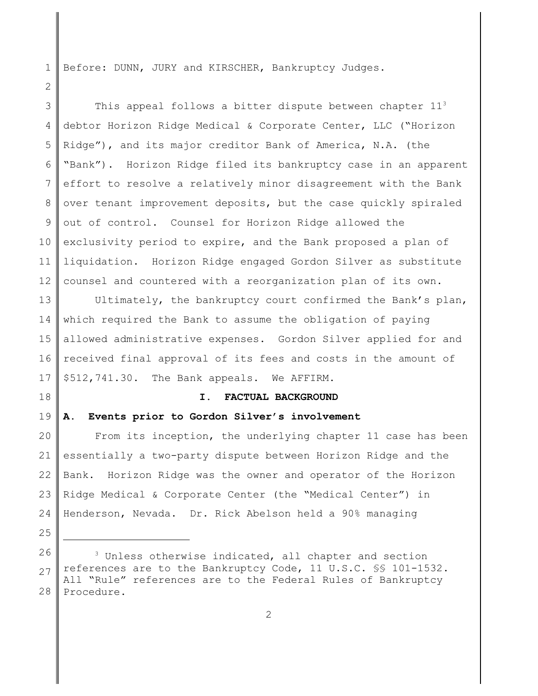1 Before: DUNN, JURY and KIRSCHER, Bankruptcy Judges.

3 4 5 6 7 8 9 10 11 12 This appeal follows a bitter dispute between chapter  $11<sup>3</sup>$ debtor Horizon Ridge Medical & Corporate Center, LLC ("Horizon Ridge"), and its major creditor Bank of America, N.A. (the "Bank"). Horizon Ridge filed its bankruptcy case in an apparent effort to resolve a relatively minor disagreement with the Bank over tenant improvement deposits, but the case quickly spiraled out of control. Counsel for Horizon Ridge allowed the exclusivity period to expire, and the Bank proposed a plan of liquidation. Horizon Ridge engaged Gordon Silver as substitute counsel and countered with a reorganization plan of its own.

13 14 15 16 17 Ultimately, the bankruptcy court confirmed the Bank's plan, which required the Bank to assume the obligation of paying allowed administrative expenses. Gordon Silver applied for and received final approval of its fees and costs in the amount of \$512,741.30. The Bank appeals. We AFFIRM.

18

25

2

### **I. FACTUAL BACKGROUND**

#### 19 **A. Events prior to Gordon Silver's involvement**

20 21 22 23 24 From its inception, the underlying chapter 11 case has been essentially a two-party dispute between Horizon Ridge and the Bank. Horizon Ridge was the owner and operator of the Horizon Ridge Medical & Corporate Center (the "Medical Center") in Henderson, Nevada. Dr. Rick Abelson held a 90% managing

<sup>26</sup> 27 28 <sup>3</sup> Unless otherwise indicated, all chapter and section references are to the Bankruptcy Code, 11 U.S.C. §§ 101-1532. All "Rule" references are to the Federal Rules of Bankruptcy Procedure.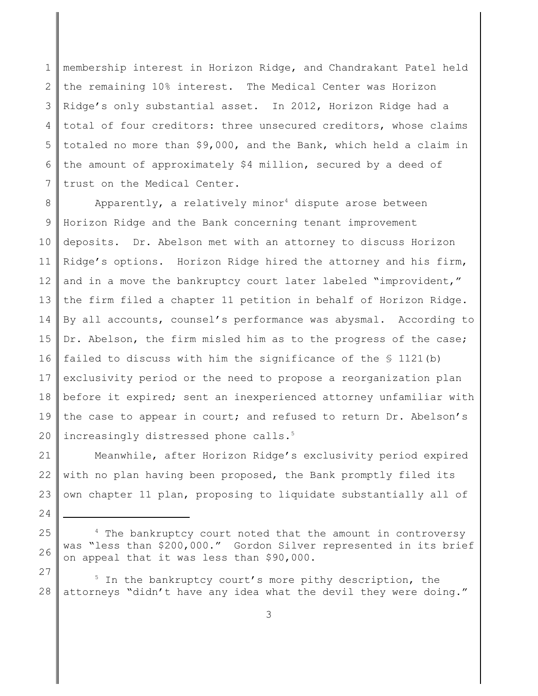1 2 3 4 5 6 7 membership interest in Horizon Ridge, and Chandrakant Patel held the remaining 10% interest. The Medical Center was Horizon Ridge's only substantial asset. In 2012, Horizon Ridge had a total of four creditors: three unsecured creditors, whose claims totaled no more than \$9,000, and the Bank, which held a claim in the amount of approximately \$4 million, secured by a deed of trust on the Medical Center.

8 9 10 11 12 13 14 15 16 17 18 19 20 Apparently, a relatively minor<sup>4</sup> dispute arose between Horizon Ridge and the Bank concerning tenant improvement deposits. Dr. Abelson met with an attorney to discuss Horizon Ridge's options. Horizon Ridge hired the attorney and his firm, and in a move the bankruptcy court later labeled "improvident," the firm filed a chapter 11 petition in behalf of Horizon Ridge. By all accounts, counsel's performance was abysmal. According to Dr. Abelson, the firm misled him as to the progress of the case; failed to discuss with him the significance of the  $\S$  1121(b) exclusivity period or the need to propose a reorganization plan before it expired; sent an inexperienced attorney unfamiliar with the case to appear in court; and refused to return Dr. Abelson's increasingly distressed phone calls.<sup>5</sup>

21 22 23 Meanwhile, after Horizon Ridge's exclusivity period expired with no plan having been proposed, the Bank promptly filed its own chapter 11 plan, proposing to liquidate substantially all of

24

- 25 26 <sup>4</sup> The bankruptcy court noted that the amount in controversy was "less than \$200,000." Gordon Silver represented in its brief on appeal that it was less than \$90,000.
- 28 <sup>5</sup> In the bankruptcy court's more pithy description, the attorneys "didn't have any idea what the devil they were doing."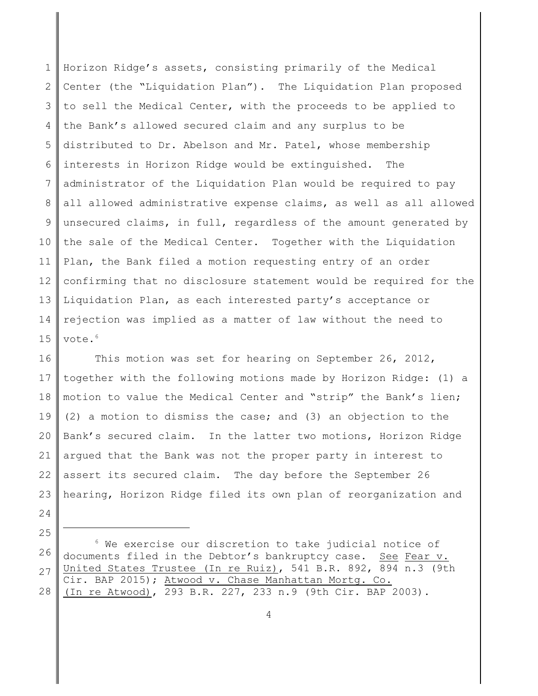1 2 3 4 5 6 7 8 9 10 11 12 13 14 15 Horizon Ridge's assets, consisting primarily of the Medical Center (the "Liquidation Plan"). The Liquidation Plan proposed to sell the Medical Center, with the proceeds to be applied to the Bank's allowed secured claim and any surplus to be distributed to Dr. Abelson and Mr. Patel, whose membership interests in Horizon Ridge would be extinguished. The administrator of the Liquidation Plan would be required to pay all allowed administrative expense claims, as well as all allowed unsecured claims, in full, regardless of the amount generated by the sale of the Medical Center. Together with the Liquidation Plan, the Bank filed a motion requesting entry of an order confirming that no disclosure statement would be required for the Liquidation Plan, as each interested party's acceptance or rejection was implied as a matter of law without the need to vote.<sup>6</sup>

16 17 18 19 20 21 22 23 24 This motion was set for hearing on September 26, 2012, together with the following motions made by Horizon Ridge: (1) a motion to value the Medical Center and "strip" the Bank's lien; (2) a motion to dismiss the case; and (3) an objection to the Bank's secured claim. In the latter two motions, Horizon Ridge argued that the Bank was not the proper party in interest to assert its secured claim. The day before the September 26 hearing, Horizon Ridge filed its own plan of reorganization and

26 27 28  $6$  We exercise our discretion to take judicial notice of documents filed in the Debtor's bankruptcy case. See Fear v. United States Trustee (In re Ruiz), 541 B.R. 892, 894 n.3 (9th Cir. BAP 2015); Atwood v. Chase Manhattan Mortg. Co. (In re Atwood), 293 B.R. 227, 233 n.9 (9th Cir. BAP 2003).

25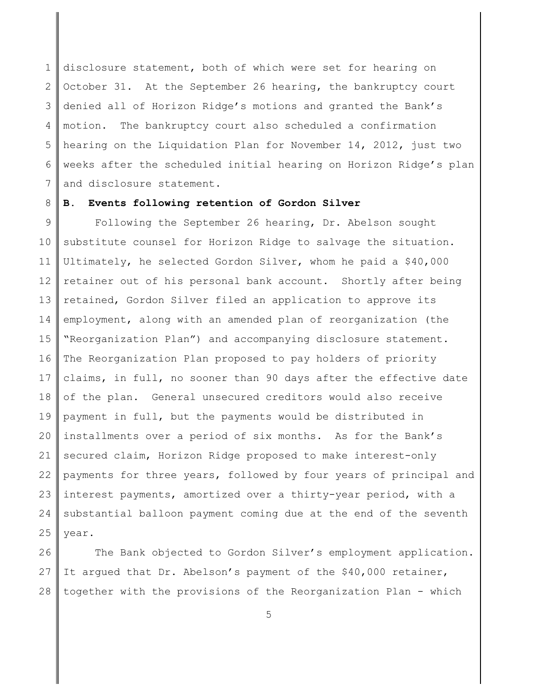1 2 3 4 5 6 7 disclosure statement, both of which were set for hearing on October 31. At the September 26 hearing, the bankruptcy court denied all of Horizon Ridge's motions and granted the Bank's motion. The bankruptcy court also scheduled a confirmation hearing on the Liquidation Plan for November 14, 2012, just two weeks after the scheduled initial hearing on Horizon Ridge's plan and disclosure statement.

#### 8 **B. Events following retention of Gordon Silver**

9 10 11 12 13 14 15 16 17 18 19 20 21 22 23 24 25 Following the September 26 hearing, Dr. Abelson sought substitute counsel for Horizon Ridge to salvage the situation. Ultimately, he selected Gordon Silver, whom he paid a \$40,000 retainer out of his personal bank account. Shortly after being retained, Gordon Silver filed an application to approve its employment, along with an amended plan of reorganization (the "Reorganization Plan") and accompanying disclosure statement. The Reorganization Plan proposed to pay holders of priority claims, in full, no sooner than 90 days after the effective date of the plan. General unsecured creditors would also receive payment in full, but the payments would be distributed in installments over a period of six months. As for the Bank's secured claim, Horizon Ridge proposed to make interest-only payments for three years, followed by four years of principal and interest payments, amortized over a thirty-year period, with a substantial balloon payment coming due at the end of the seventh year.

26 27 28 The Bank objected to Gordon Silver's employment application. It argued that Dr. Abelson's payment of the \$40,000 retainer, together with the provisions of the Reorganization Plan - which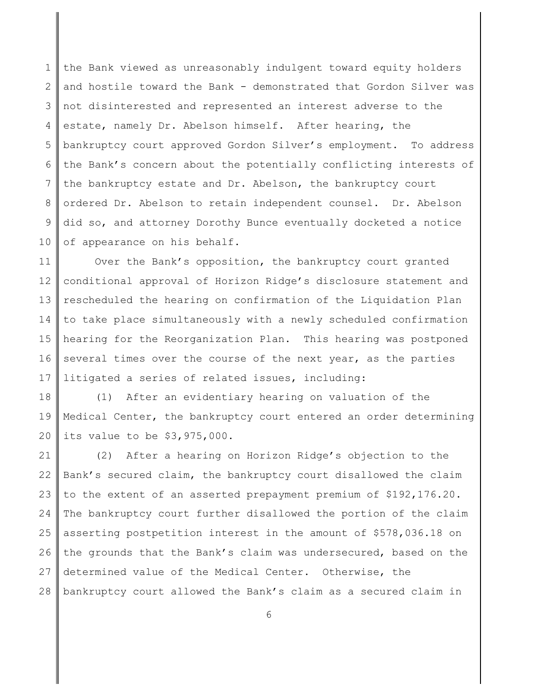1 2 3 4 5 6 7 8 9 10 the Bank viewed as unreasonably indulgent toward equity holders and hostile toward the Bank - demonstrated that Gordon Silver was not disinterested and represented an interest adverse to the estate, namely Dr. Abelson himself. After hearing, the bankruptcy court approved Gordon Silver's employment. To address the Bank's concern about the potentially conflicting interests of the bankruptcy estate and Dr. Abelson, the bankruptcy court ordered Dr. Abelson to retain independent counsel. Dr. Abelson did so, and attorney Dorothy Bunce eventually docketed a notice of appearance on his behalf.

11 12 13 14 15 16 17 Over the Bank's opposition, the bankruptcy court granted conditional approval of Horizon Ridge's disclosure statement and rescheduled the hearing on confirmation of the Liquidation Plan to take place simultaneously with a newly scheduled confirmation hearing for the Reorganization Plan. This hearing was postponed several times over the course of the next year, as the parties litigated a series of related issues, including:

18 19 20 (1) After an evidentiary hearing on valuation of the Medical Center, the bankruptcy court entered an order determining its value to be \$3,975,000.

21 22 23 24 25 26 27 28 (2) After a hearing on Horizon Ridge's objection to the Bank's secured claim, the bankruptcy court disallowed the claim to the extent of an asserted prepayment premium of \$192,176.20. The bankruptcy court further disallowed the portion of the claim asserting postpetition interest in the amount of \$578,036.18 on the grounds that the Bank's claim was undersecured, based on the determined value of the Medical Center. Otherwise, the bankruptcy court allowed the Bank's claim as a secured claim in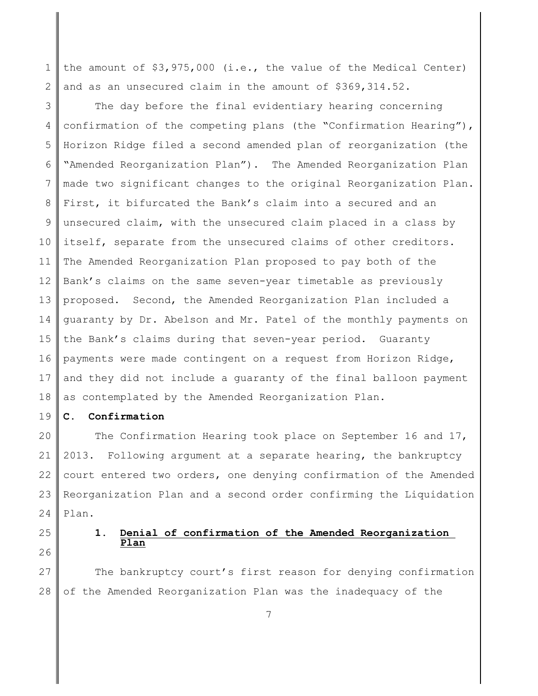1 2 the amount of \$3,975,000 (i.e., the value of the Medical Center) and as an unsecured claim in the amount of \$369,314.52.

3 4 5 6 7 8 9 10 11 12 13 14 15 16 17 18 The day before the final evidentiary hearing concerning confirmation of the competing plans (the "Confirmation Hearing"), Horizon Ridge filed a second amended plan of reorganization (the "Amended Reorganization Plan"). The Amended Reorganization Plan made two significant changes to the original Reorganization Plan. First, it bifurcated the Bank's claim into a secured and an unsecured claim, with the unsecured claim placed in a class by itself, separate from the unsecured claims of other creditors. The Amended Reorganization Plan proposed to pay both of the Bank's claims on the same seven-year timetable as previously proposed. Second, the Amended Reorganization Plan included a guaranty by Dr. Abelson and Mr. Patel of the monthly payments on the Bank's claims during that seven-year period. Guaranty payments were made contingent on a request from Horizon Ridge, and they did not include a guaranty of the final balloon payment as contemplated by the Amended Reorganization Plan.

19 **C. Confirmation**

20 21 22 23 24 The Confirmation Hearing took place on September 16 and 17, 2013. Following argument at a separate hearing, the bankruptcy court entered two orders, one denying confirmation of the Amended Reorganization Plan and a second order confirming the Liquidation Plan.

25

26

### **1. Denial of confirmation of the Amended Reorganization Plan**

27 28 The bankruptcy court's first reason for denying confirmation of the Amended Reorganization Plan was the inadequacy of the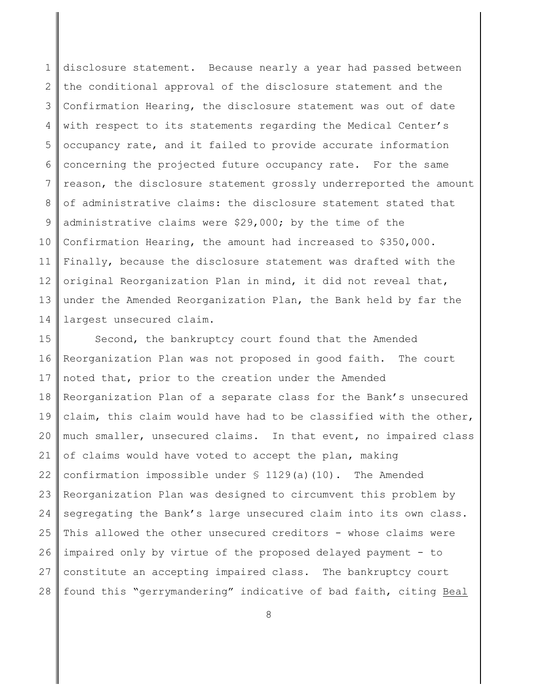1 2 3 4 5 6 7 8 9 10 11 12 13 14 disclosure statement. Because nearly a year had passed between the conditional approval of the disclosure statement and the Confirmation Hearing, the disclosure statement was out of date with respect to its statements regarding the Medical Center's occupancy rate, and it failed to provide accurate information concerning the projected future occupancy rate. For the same reason, the disclosure statement grossly underreported the amount of administrative claims: the disclosure statement stated that administrative claims were \$29,000; by the time of the Confirmation Hearing, the amount had increased to \$350,000. Finally, because the disclosure statement was drafted with the original Reorganization Plan in mind, it did not reveal that, under the Amended Reorganization Plan, the Bank held by far the largest unsecured claim.

15 16 17 18 19 20 21 22 23 24 25 26 27 28 Second, the bankruptcy court found that the Amended Reorganization Plan was not proposed in good faith. The court noted that, prior to the creation under the Amended Reorganization Plan of a separate class for the Bank's unsecured claim, this claim would have had to be classified with the other, much smaller, unsecured claims. In that event, no impaired class of claims would have voted to accept the plan, making confirmation impossible under § 1129(a)(10). The Amended Reorganization Plan was designed to circumvent this problem by segregating the Bank's large unsecured claim into its own class. This allowed the other unsecured creditors - whose claims were impaired only by virtue of the proposed delayed payment - to constitute an accepting impaired class. The bankruptcy court found this "gerrymandering" indicative of bad faith, citing Beal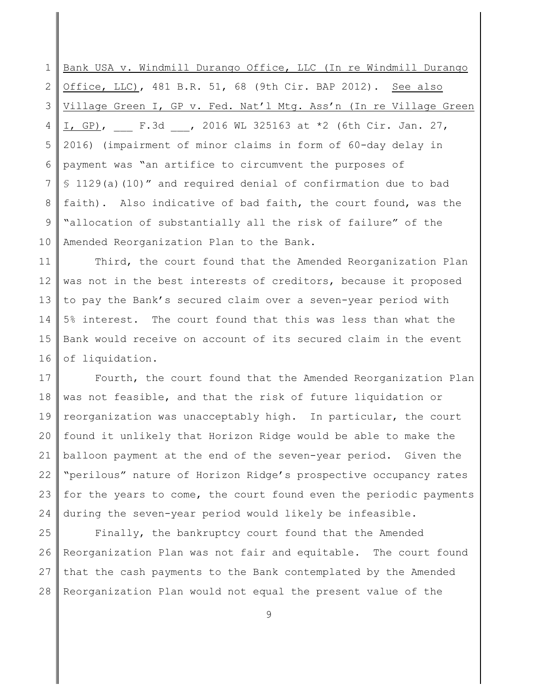1 2 3 4 5 6 7 8 9 10 Bank USA v. Windmill Durango Office, LLC (In re Windmill Durango Office, LLC), 481 B.R. 51, 68 (9th Cir. BAP 2012). See also Village Green I, GP v. Fed. Nat'l Mtg. Ass'n (In re Village Green  $I, GP$ , F.3d , 2016 WL 325163 at \*2 (6th Cir. Jan. 27, 2016) (impairment of minor claims in form of 60-day delay in payment was "an artifice to circumvent the purposes of § 1129(a)(10)" and required denial of confirmation due to bad faith). Also indicative of bad faith, the court found, was the "allocation of substantially all the risk of failure" of the Amended Reorganization Plan to the Bank.

11 12 13 14 15 16 Third, the court found that the Amended Reorganization Plan was not in the best interests of creditors, because it proposed to pay the Bank's secured claim over a seven-year period with 5% interest. The court found that this was less than what the Bank would receive on account of its secured claim in the event of liquidation.

17 18 19 20 21 22 23 24 Fourth, the court found that the Amended Reorganization Plan was not feasible, and that the risk of future liquidation or reorganization was unacceptably high. In particular, the court found it unlikely that Horizon Ridge would be able to make the balloon payment at the end of the seven-year period. Given the "perilous" nature of Horizon Ridge's prospective occupancy rates for the years to come, the court found even the periodic payments during the seven-year period would likely be infeasible.

25 26 27 28 Finally, the bankruptcy court found that the Amended Reorganization Plan was not fair and equitable. The court found that the cash payments to the Bank contemplated by the Amended Reorganization Plan would not equal the present value of the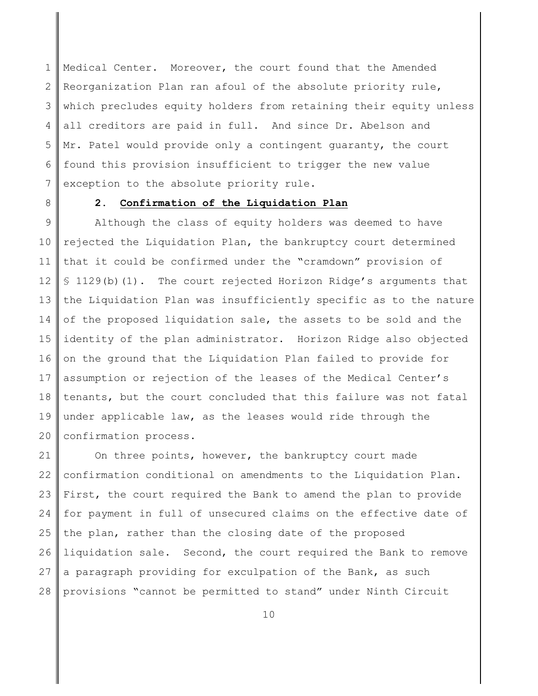1 2 3 4 5 6 7 Medical Center. Moreover, the court found that the Amended Reorganization Plan ran afoul of the absolute priority rule, which precludes equity holders from retaining their equity unless all creditors are paid in full. And since Dr. Abelson and Mr. Patel would provide only a contingent guaranty, the court found this provision insufficient to trigger the new value exception to the absolute priority rule.

8

# **2. Confirmation of the Liquidation Plan**

9 10 11 12 13 14 15 16 17 18 19 20 Although the class of equity holders was deemed to have rejected the Liquidation Plan, the bankruptcy court determined that it could be confirmed under the "cramdown" provision of § 1129(b)(1). The court rejected Horizon Ridge's arguments that the Liquidation Plan was insufficiently specific as to the nature of the proposed liquidation sale, the assets to be sold and the identity of the plan administrator. Horizon Ridge also objected on the ground that the Liquidation Plan failed to provide for assumption or rejection of the leases of the Medical Center's tenants, but the court concluded that this failure was not fatal under applicable law, as the leases would ride through the confirmation process.

21 22 23 24 25 26 27 28 On three points, however, the bankruptcy court made confirmation conditional on amendments to the Liquidation Plan. First, the court required the Bank to amend the plan to provide for payment in full of unsecured claims on the effective date of the plan, rather than the closing date of the proposed liquidation sale. Second, the court required the Bank to remove a paragraph providing for exculpation of the Bank, as such provisions "cannot be permitted to stand" under Ninth Circuit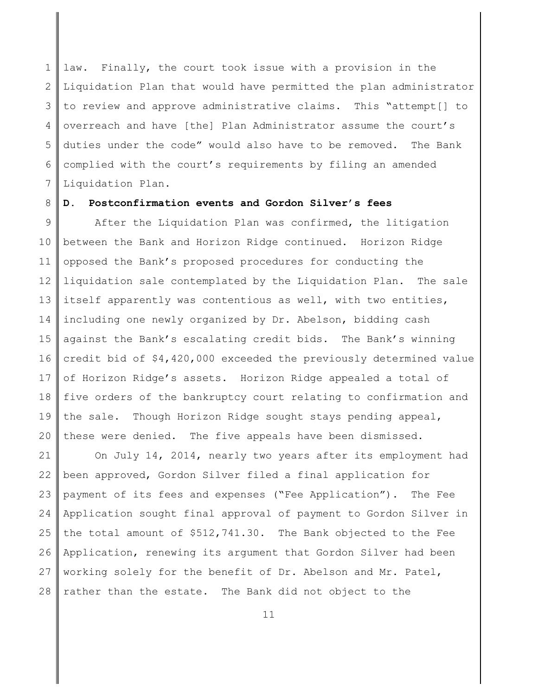1 2 3 4 5 6 7 law. Finally, the court took issue with a provision in the Liquidation Plan that would have permitted the plan administrator to review and approve administrative claims. This "attempt[] to overreach and have [the] Plan Administrator assume the court's duties under the code" would also have to be removed. The Bank complied with the court's requirements by filing an amended Liquidation Plan.

#### 8 **D. Postconfirmation events and Gordon Silver's fees**

9 10 11 12 13 14 15 16 17 18 19 20 After the Liquidation Plan was confirmed, the litigation between the Bank and Horizon Ridge continued. Horizon Ridge opposed the Bank's proposed procedures for conducting the liquidation sale contemplated by the Liquidation Plan. The sale itself apparently was contentious as well, with two entities, including one newly organized by Dr. Abelson, bidding cash against the Bank's escalating credit bids. The Bank's winning credit bid of \$4,420,000 exceeded the previously determined value of Horizon Ridge's assets. Horizon Ridge appealed a total of five orders of the bankruptcy court relating to confirmation and the sale. Though Horizon Ridge sought stays pending appeal, these were denied. The five appeals have been dismissed.

21 22 23 24 25 26 27 28 On July 14, 2014, nearly two years after its employment had been approved, Gordon Silver filed a final application for payment of its fees and expenses ("Fee Application"). The Fee Application sought final approval of payment to Gordon Silver in the total amount of \$512,741.30. The Bank objected to the Fee Application, renewing its argument that Gordon Silver had been working solely for the benefit of Dr. Abelson and Mr. Patel, rather than the estate. The Bank did not object to the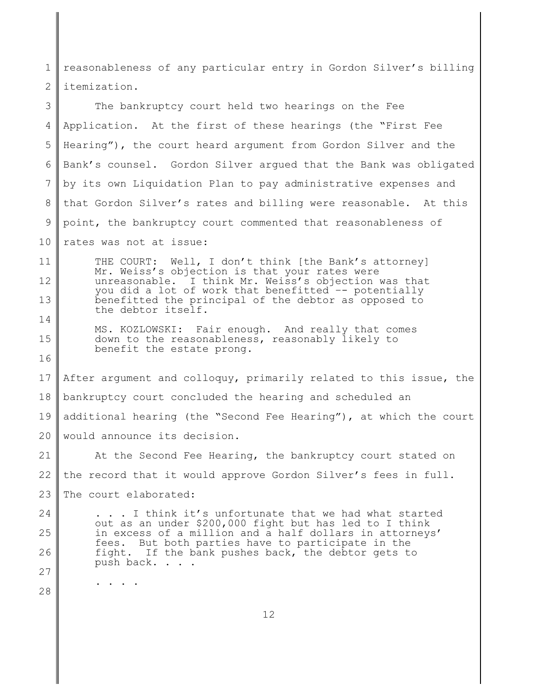1 2 reasonableness of any particular entry in Gordon Silver's billing itemization.

3 4 5 6 7 8 9 10 The bankruptcy court held two hearings on the Fee Application. At the first of these hearings (the "First Fee Hearing"), the court heard argument from Gordon Silver and the Bank's counsel. Gordon Silver argued that the Bank was obligated by its own Liquidation Plan to pay administrative expenses and that Gordon Silver's rates and billing were reasonable. At this point, the bankruptcy court commented that reasonableness of rates was not at issue:

11 12 13 14 THE COURT: Well, I don't think [the Bank's attorney] Mr. Weiss's objection is that your rates were unreasonable. I think Mr. Weiss's objection was that you did a lot of work that benefitted -- potentially benefitted the principal of the debtor as opposed to the debtor itself.

MS. KOZLOWSKI: Fair enough. And really that comes down to the reasonableness, reasonably likely to benefit the estate prong.

17 18 19 20 After argument and colloquy, primarily related to this issue, the bankruptcy court concluded the hearing and scheduled an additional hearing (the "Second Fee Hearing"), at which the court would announce its decision.

21 22 23 At the Second Fee Hearing, the bankruptcy court stated on the record that it would approve Gordon Silver's fees in full. The court elaborated:

24 25 26 27 . . . I think it's unfortunate that we had what started out as an under \$200,000 fight but has led to I think in excess of a million and a half dollars in attorneys' fees. But both parties have to participate in the fight. If the bank pushes back, the debtor gets to push back. . . .

28

. . . .

15

16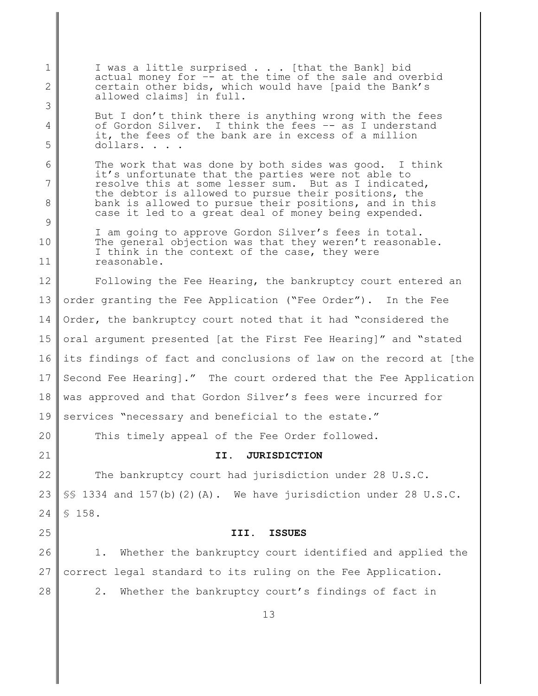1 2 3 4 5 6 7 8 9 10 11 12 13 14 15 16 17 18 19 20 21 22 23 24 25 26 27 28 I was a little surprised . . . [that the Bank] bid actual money for  $-\bar{}$  at the time of the sale and overbid certain other bids, which would have [paid the Bank's allowed claims] in full. But I don't think there is anything wrong with the fees of Gordon Silver. I think the fees –- as I understand it, the fees of the bank are in excess of a million dollars. . . . The work that was done by both sides was good. I think it's unfortunate that the parties were not able to resolve this at some lesser sum. But as I indicated, the debtor is allowed to pursue their positions, the bank is allowed to pursue their positions, and in this case it led to a great deal of money being expended. I am going to approve Gordon Silver's fees in total. The general objection was that they weren't reasonable. I think in the context of the case, they were reasonable. Following the Fee Hearing, the bankruptcy court entered an order granting the Fee Application ("Fee Order"). In the Fee Order, the bankruptcy court noted that it had "considered the oral argument presented [at the First Fee Hearing]" and "stated its findings of fact and conclusions of law on the record at [the Second Fee Hearing]." The court ordered that the Fee Application was approved and that Gordon Silver's fees were incurred for services "necessary and beneficial to the estate." This timely appeal of the Fee Order followed. **II. JURISDICTION** The bankruptcy court had jurisdiction under 28 U.S.C. §§ 1334 and 157(b)(2)(A). We have jurisdiction under 28 U.S.C. § 158. **III. ISSUES** 1. Whether the bankruptcy court identified and applied the correct legal standard to its ruling on the Fee Application. 2. Whether the bankruptcy court's findings of fact in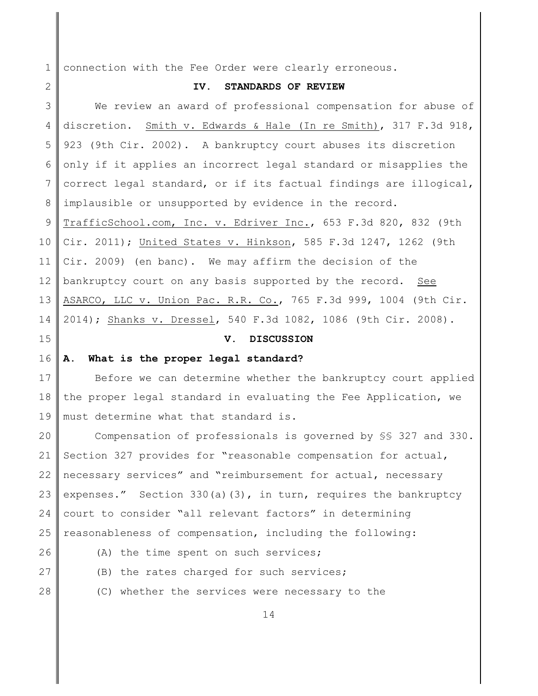1 connection with the Fee Order were clearly erroneous.

## **IV. STANDARDS OF REVIEW**

3 4 5 6 7 8 9 10 11 12 13 14 We review an award of professional compensation for abuse of discretion. Smith v. Edwards & Hale (In re Smith), 317 F.3d 918, 923 (9th Cir. 2002). A bankruptcy court abuses its discretion only if it applies an incorrect legal standard or misapplies the correct legal standard, or if its factual findings are illogical, implausible or unsupported by evidence in the record. TrafficSchool.com, Inc. v. Edriver Inc., 653 F.3d 820, 832 (9th Cir. 2011); United States v. Hinkson, 585 F.3d 1247, 1262 (9th Cir. 2009) (en banc). We may affirm the decision of the bankruptcy court on any basis supported by the record. See ASARCO, LLC v. Union Pac. R.R. Co., 765 F.3d 999, 1004 (9th Cir. 2014); Shanks v. Dressel, 540 F.3d 1082, 1086 (9th Cir. 2008).

15

2

# **V. DISCUSSION**

#### 16 **A. What is the proper legal standard?**

17 18 19 Before we can determine whether the bankruptcy court applied the proper legal standard in evaluating the Fee Application, we must determine what that standard is.

20 21 22 23 24 25 Compensation of professionals is governed by §§ 327 and 330. Section 327 provides for "reasonable compensation for actual, necessary services" and "reimbursement for actual, necessary expenses." Section 330(a)(3), in turn, requires the bankruptcy court to consider "all relevant factors" in determining reasonableness of compensation, including the following:

- 26
- (A) the time spent on such services;
- 27 28
- 
- (B) the rates charged for such services;
	- (C) whether the services were necessary to the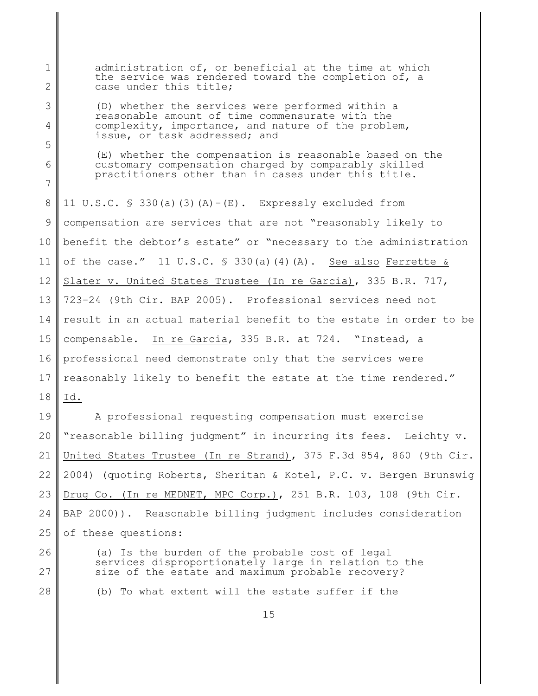1 2 3 4 5 6 7 8 9 10 11 12 13 14 15 16 17 18 19 20 21 22 23 24 25 26 27 28 administration of, or beneficial at the time at which the service was rendered toward the completion of, a case under this title; (D) whether the services were performed within a reasonable amount of time commensurate with the complexity, importance, and nature of the problem, issue, or task addressed; and (E) whether the compensation is reasonable based on the customary compensation charged by comparably skilled practitioners other than in cases under this title. 11 U.S.C.  $\frac{1}{2}$  330(a)(3)(A)-(E). Expressly excluded from compensation are services that are not "reasonably likely to benefit the debtor's estate" or "necessary to the administration of the case."  $11 \text{ U.S.C. }$  \$ 330(a)(4)(A). See also Ferrette & Slater v. United States Trustee (In re Garcia), 335 B.R. 717, 723-24 (9th Cir. BAP 2005). Professional services need not result in an actual material benefit to the estate in order to be compensable. In re Garcia, 335 B.R. at 724. "Instead, a professional need demonstrate only that the services were reasonably likely to benefit the estate at the time rendered." Id. A professional requesting compensation must exercise "reasonable billing judgment" in incurring its fees. Leichty v. United States Trustee (In re Strand), 375 F.3d 854, 860 (9th Cir. 2004) (quoting Roberts, Sheritan & Kotel, P.C. v. Bergen Brunswig Drug Co. (In re MEDNET, MPC Corp.), 251 B.R. 103, 108 (9th Cir. BAP 2000)). Reasonable billing judgment includes consideration of these questions: (a) Is the burden of the probable cost of legal services disproportionately large in relation to the size of the estate and maximum probable recovery? (b) To what extent will the estate suffer if the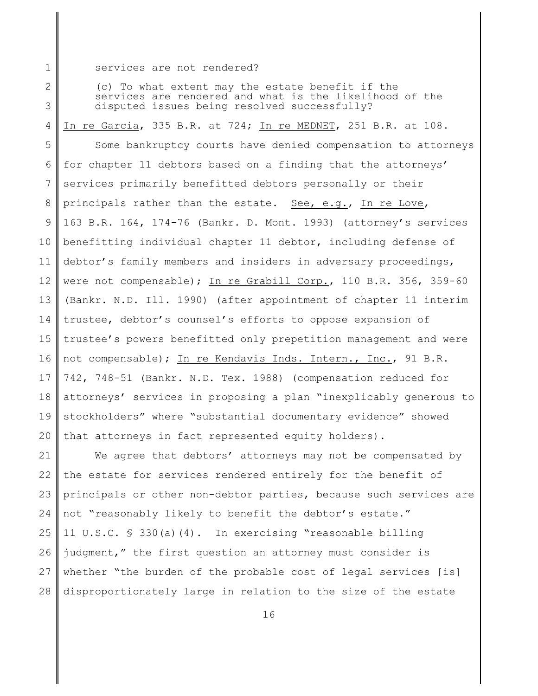1 services are not rendered?

2

3

(c) To what extent may the estate benefit if the services are rendered and what is the likelihood of the disputed issues being resolved successfully?

4 In re Garcia, 335 B.R. at 724; In re MEDNET, 251 B.R. at 108.

5 6 7 8 9 10 11 12 13 14 15 16 17 18 19 20 Some bankruptcy courts have denied compensation to attorneys for chapter 11 debtors based on a finding that the attorneys' services primarily benefitted debtors personally or their principals rather than the estate. See, e.g., In re Love, 163 B.R. 164, 174-76 (Bankr. D. Mont. 1993) (attorney's services benefitting individual chapter 11 debtor, including defense of debtor's family members and insiders in adversary proceedings, were not compensable); In re Grabill Corp., 110 B.R. 356, 359-60 (Bankr. N.D. Ill. 1990) (after appointment of chapter 11 interim trustee, debtor's counsel's efforts to oppose expansion of trustee's powers benefitted only prepetition management and were not compensable); In re Kendavis Inds. Intern., Inc., 91 B.R. 742, 748-51 (Bankr. N.D. Tex. 1988) (compensation reduced for attorneys' services in proposing a plan "inexplicably generous to stockholders" where "substantial documentary evidence" showed that attorneys in fact represented equity holders).

21 22 23 24 25 26 27 28 We agree that debtors' attorneys may not be compensated by the estate for services rendered entirely for the benefit of principals or other non-debtor parties, because such services are not "reasonably likely to benefit the debtor's estate." 11 U.S.C. § 330(a)(4). In exercising "reasonable billing judgment," the first question an attorney must consider is whether "the burden of the probable cost of legal services [is] disproportionately large in relation to the size of the estate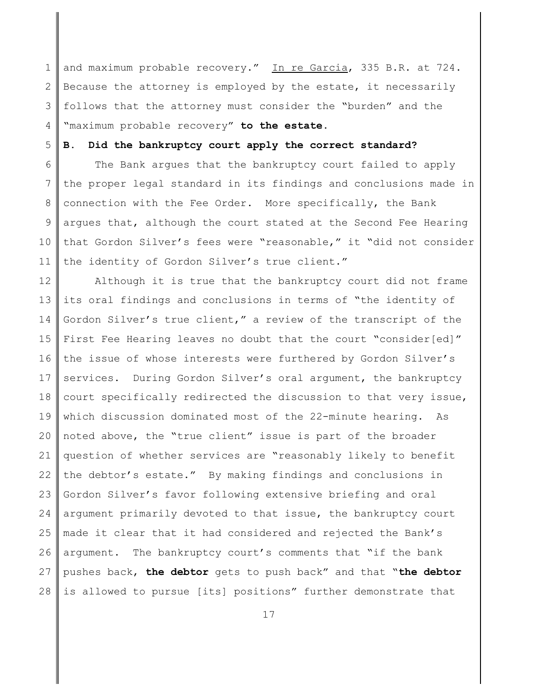1 2 3 4 and maximum probable recovery." In re Garcia, 335 B.R. at 724. Because the attorney is employed by the estate, it necessarily follows that the attorney must consider the "burden" and the "maximum probable recovery" **to the estate**.

5

# **B. Did the bankruptcy court apply the correct standard?**

6 7 8 9 10 11 The Bank argues that the bankruptcy court failed to apply the proper legal standard in its findings and conclusions made in connection with the Fee Order. More specifically, the Bank argues that, although the court stated at the Second Fee Hearing that Gordon Silver's fees were "reasonable," it "did not consider the identity of Gordon Silver's true client."

12 13 14 15 16 17 18 19 20 21 22 23 24 25 26 27 28 Although it is true that the bankruptcy court did not frame its oral findings and conclusions in terms of "the identity of Gordon Silver's true client," a review of the transcript of the First Fee Hearing leaves no doubt that the court "consider[ed]" the issue of whose interests were furthered by Gordon Silver's services. During Gordon Silver's oral argument, the bankruptcy court specifically redirected the discussion to that very issue, which discussion dominated most of the 22-minute hearing. As noted above, the "true client" issue is part of the broader question of whether services are "reasonably likely to benefit the debtor's estate." By making findings and conclusions in Gordon Silver's favor following extensive briefing and oral argument primarily devoted to that issue, the bankruptcy court made it clear that it had considered and rejected the Bank's argument. The bankruptcy court's comments that "if the bank pushes back, **the debtor** gets to push back" and that "**the debtor** is allowed to pursue [its] positions" further demonstrate that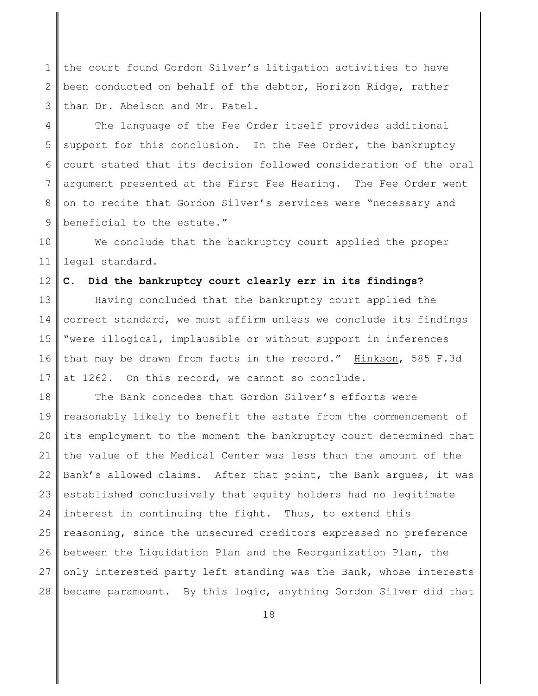1 2 3 the court found Gordon Silver's litigation activities to have been conducted on behalf of the debtor, Horizon Ridge, rather than Dr. Abelson and Mr. Patel.

4 5 6 7 8 9 The language of the Fee Order itself provides additional support for this conclusion. In the Fee Order, the bankruptcy court stated that its decision followed consideration of the oral argument presented at the First Fee Hearing. The Fee Order went on to recite that Gordon Silver's services were "necessary and beneficial to the estate."

10 11 We conclude that the bankruptcy court applied the proper legal standard.

12 **C. Did the bankruptcy court clearly err in its findings?**

13 14 15 16 17 Having concluded that the bankruptcy court applied the correct standard, we must affirm unless we conclude its findings "were illogical, implausible or without support in inferences that may be drawn from facts in the record." Hinkson, 585 F.3d at 1262. On this record, we cannot so conclude.

18 19 20 21 22 23 24 25 26 27 28 The Bank concedes that Gordon Silver's efforts were reasonably likely to benefit the estate from the commencement of its employment to the moment the bankruptcy court determined that the value of the Medical Center was less than the amount of the Bank's allowed claims. After that point, the Bank argues, it was established conclusively that equity holders had no legitimate interest in continuing the fight. Thus, to extend this reasoning, since the unsecured creditors expressed no preference between the Liquidation Plan and the Reorganization Plan, the only interested party left standing was the Bank, whose interests became paramount. By this logic, anything Gordon Silver did that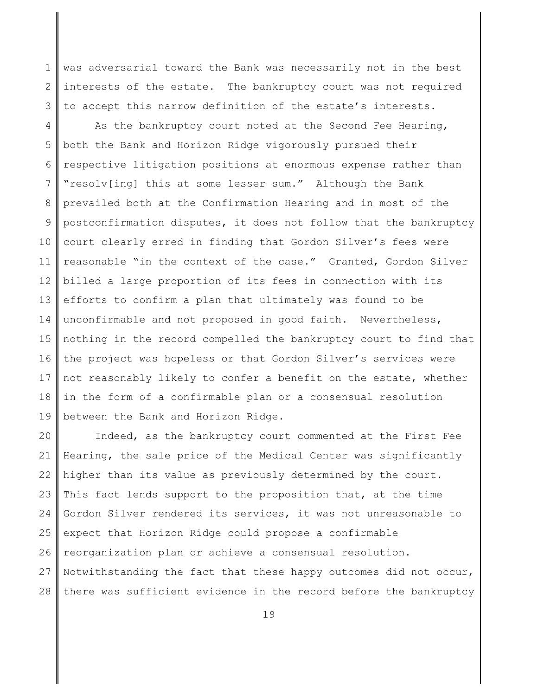1 2 3 was adversarial toward the Bank was necessarily not in the best interests of the estate. The bankruptcy court was not required to accept this narrow definition of the estate's interests.

4 5 6 7 8 9 10 11 12 13 14 15 16 17 18 19 As the bankruptcy court noted at the Second Fee Hearing, both the Bank and Horizon Ridge vigorously pursued their respective litigation positions at enormous expense rather than "resolv[ing] this at some lesser sum." Although the Bank prevailed both at the Confirmation Hearing and in most of the postconfirmation disputes, it does not follow that the bankruptcy court clearly erred in finding that Gordon Silver's fees were reasonable "in the context of the case." Granted, Gordon Silver billed a large proportion of its fees in connection with its efforts to confirm a plan that ultimately was found to be unconfirmable and not proposed in good faith. Nevertheless, nothing in the record compelled the bankruptcy court to find that the project was hopeless or that Gordon Silver's services were not reasonably likely to confer a benefit on the estate, whether in the form of a confirmable plan or a consensual resolution between the Bank and Horizon Ridge.

20 21 22 23 24 25 26 27 28 Indeed, as the bankruptcy court commented at the First Fee Hearing, the sale price of the Medical Center was significantly higher than its value as previously determined by the court. This fact lends support to the proposition that, at the time Gordon Silver rendered its services, it was not unreasonable to expect that Horizon Ridge could propose a confirmable reorganization plan or achieve a consensual resolution. Notwithstanding the fact that these happy outcomes did not occur, there was sufficient evidence in the record before the bankruptcy